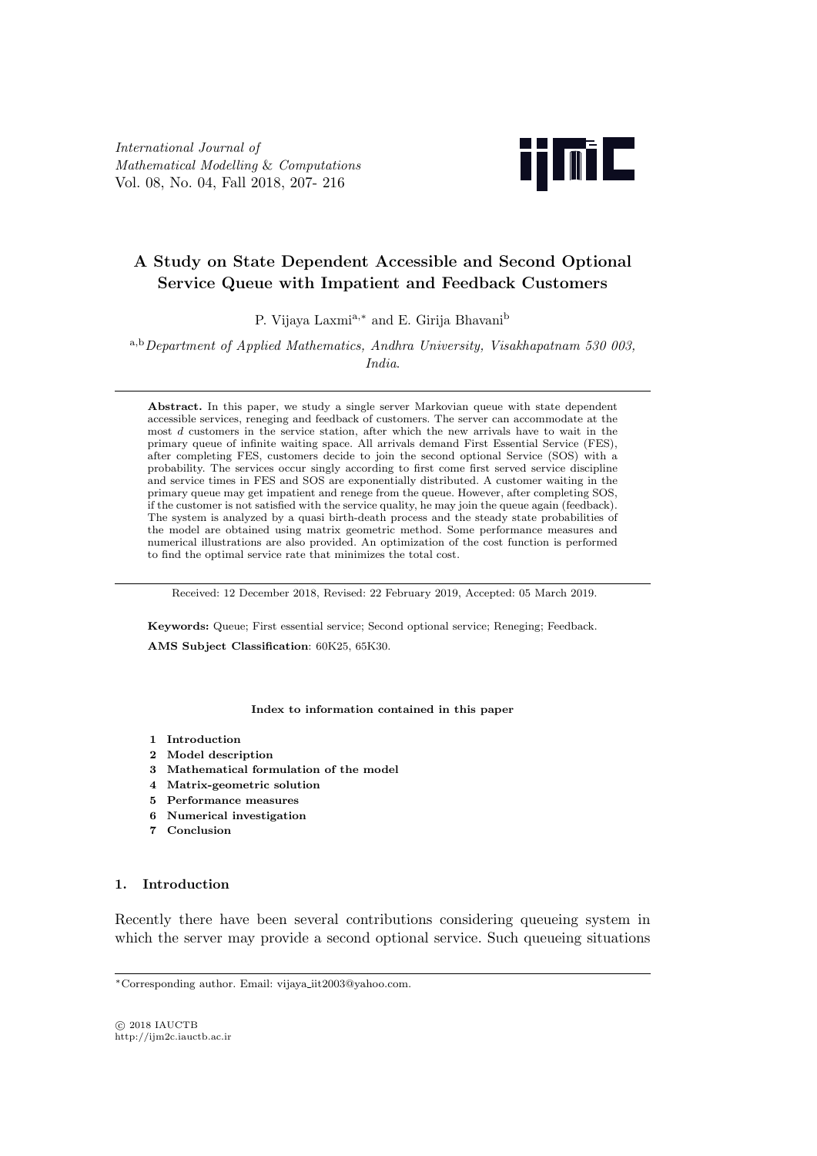*International Journal of Mathematical Modelling* & *Computations* Vol. 08, No. 04, Fall 2018, 207- 216



# **A Study on State Dependent Accessible and Second Optional Service Queue with Impatient and Feedback Customers**

P. Vijaya Laxmia*,<sup>∗</sup>* and E. Girija Bhavani<sup>b</sup>

<sup>a</sup>*,*b*Department of Applied Mathematics, Andhra University, Visakhapatnam 530 003, India*.

Abstract. In this paper, we study a single server Markovian queue with state dependent accessible services, reneging and feedback of customers. The server can accommodate at the most *d* customers in the service station, after which the new arrivals have to wait in the primary queue of infinite waiting space. All arrivals demand First Essential Service (FES), after completing FES, customers decide to join the second optional Service (SOS) with a probability. The services occur singly according to first come first served service discipline and service times in FES and SOS are exponentially distributed. A customer waiting in the primary queue may get impatient and renege from the queue. However, after completing SOS, if the customer is not satisfied with the service quality, he may join the queue again (feedback). The system is analyzed by a quasi birth-death process and the steady state probabilities of the model are obtained using matrix geometric method. Some performance measures and numerical illustrations are also provided. An optimization of the cost function is performed to find the optimal service rate that minimizes the total cost.

Received: 12 December 2018, Revised: 22 February 2019, Accepted: 05 March 2019.

**Keywords:** Queue; First essential service; Second optional service; Reneging; Feedback.

**AMS Subject Classification**: 60K25, 65K30.

## **Index to information contained in this paper**

- **1 Introduction**
- **2 Model description**
- **3 Mathematical formulation of the model**
- **4 Matrix-geometric solution**
- **5 Performance measures**
- **6 Numerical investigation**
- **7 Conclusion**

# **1. Introduction**

Recently there have been several contributions considering queueing system in which the server may provide a second optional service. Such queueing situations

*<sup>∗</sup>*Corresponding author. Email: vijaya iit2003@yahoo.com.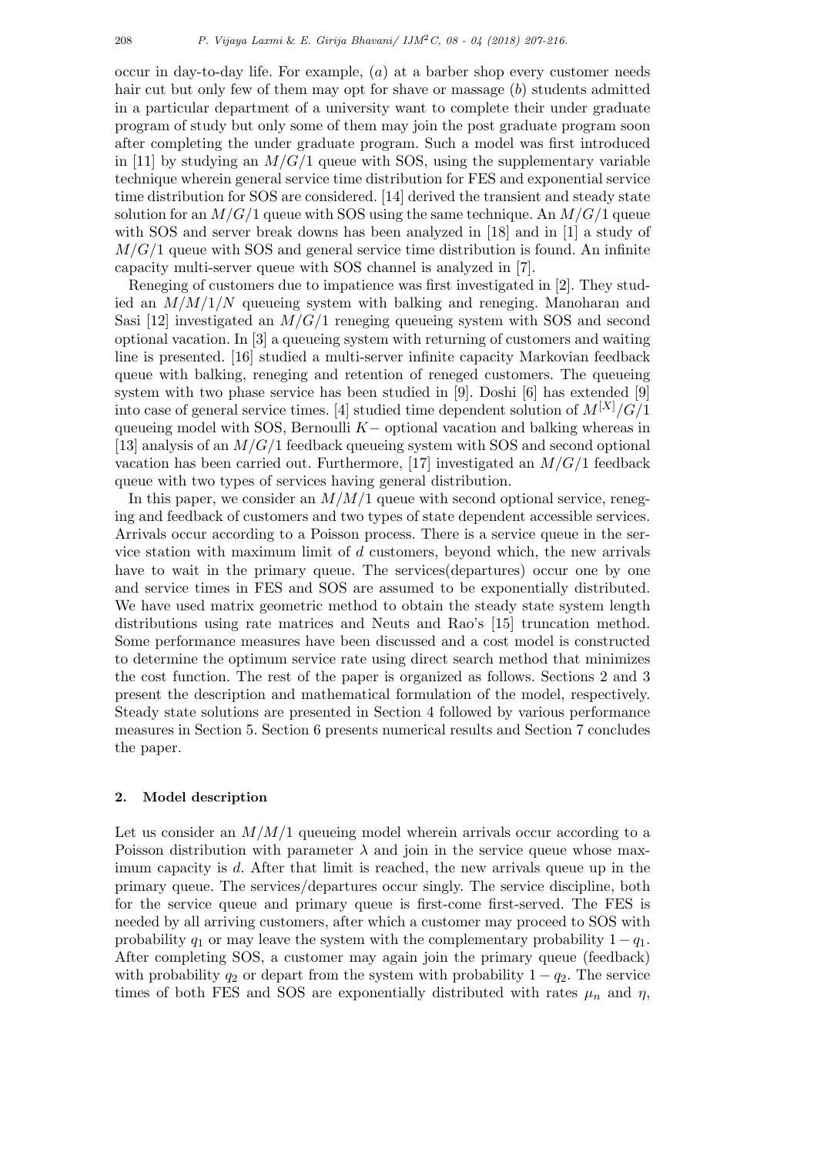occur in day-to-day life. For example, (*a*) at a barber shop every customer needs hair cut but only few of them may opt for shave or massage (*b*) students admitted in a particular department of a university want to complete their under graduate program of study but only some of them may join the post graduate program soon after completing the under graduate program. Such a model was first introduced in [11] by studying an  $M/G/1$  queue with SOS, using the supplementary variable technique wherein general service time distribution for FES and exponential service time distribution for SOS are considered. [14] derived the transient and steady state solution for an *M/G/*1 queue with SOS using the same technique. An *M/G/*1 queue with SOS and server break downs has been analyzed in [18] and in [1] a study of *M/G/*1 queue with SOS and general service time distribution is found. An infinite capacity multi-server queue with SOS channel is analyzed in [7].

Reneging of customers due to impatience was first investigated in [2]. They studied an *M/M/*1*/N* queueing system with balking and reneging. Manoharan and Sasi [12] investigated an  $M/G/1$  reneging queueing system with SOS and second optional vacation. In [3] a queueing system with returning of customers and waiting line is presented. [16] studied a multi-server infinite capacity Markovian feedback queue with balking, reneging and retention of reneged customers. The queueing system with two phase service has been studied in [9]. Doshi [6] has extended [9] into case of general service times. [4] studied time dependent solution of *M*[*X*]*/G/*1 queueing model with SOS, Bernoulli *K−* optional vacation and balking whereas in [13] analysis of an *M/G/*1 feedback queueing system with SOS and second optional vacation has been carried out. Furthermore, [17] investigated an *M/G/*1 feedback queue with two types of services having general distribution.

In this paper, we consider an  $M/M/1$  queue with second optional service, reneging and feedback of customers and two types of state dependent accessible services. Arrivals occur according to a Poisson process. There is a service queue in the service station with maximum limit of *d* customers, beyond which, the new arrivals have to wait in the primary queue. The services(departures) occur one by one and service times in FES and SOS are assumed to be exponentially distributed. We have used matrix geometric method to obtain the steady state system length distributions using rate matrices and Neuts and Rao's [15] truncation method. Some performance measures have been discussed and a cost model is constructed to determine the optimum service rate using direct search method that minimizes the cost function. The rest of the paper is organized as follows. Sections 2 and 3 present the description and mathematical formulation of the model, respectively. Steady state solutions are presented in Section 4 followed by various performance measures in Section 5. Section 6 presents numerical results and Section 7 concludes the paper.

# **2. Model description**

Let us consider an *M/M/*1 queueing model wherein arrivals occur according to a Poisson distribution with parameter  $\lambda$  and join in the service queue whose maximum capacity is *d*. After that limit is reached, the new arrivals queue up in the primary queue. The services/departures occur singly. The service discipline, both for the service queue and primary queue is first-come first-served. The FES is needed by all arriving customers, after which a customer may proceed to SOS with probability  $q_1$  or may leave the system with the complementary probability  $1 - q_1$ . After completing SOS, a customer may again join the primary queue (feedback) with probability  $q_2$  or depart from the system with probability  $1 - q_2$ . The service times of both FES and SOS are exponentially distributed with rates  $\mu_n$  and  $\eta$ ,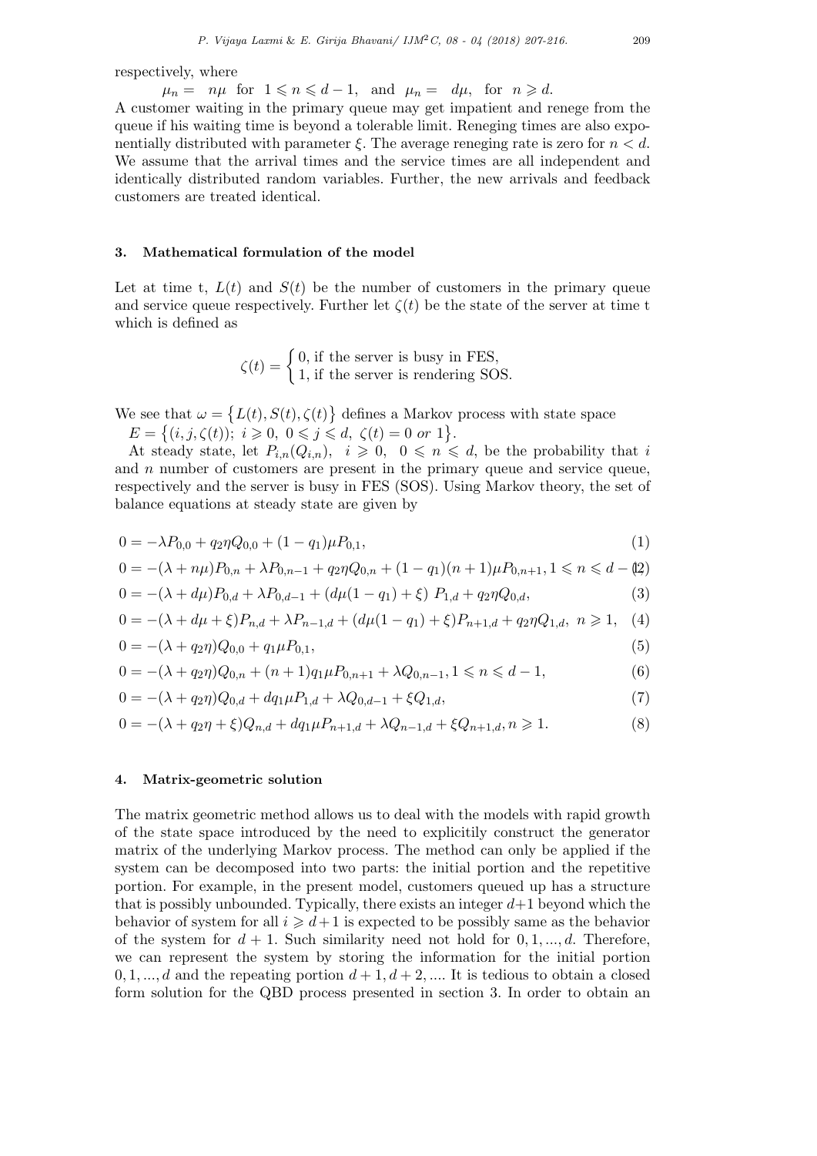respectively, where

 $\mu_n = n\mu$  for  $1 \leq n \leq d-1$ , and  $\mu_n = d\mu$ , for  $n \geq d$ .

A customer waiting in the primary queue may get impatient and renege from the queue if his waiting time is beyond a tolerable limit. Reneging times are also exponentially distributed with parameter *ξ*. The average reneging rate is zero for *n < d*. We assume that the arrival times and the service times are all independent and identically distributed random variables. Further, the new arrivals and feedback customers are treated identical.

# **3. Mathematical formulation of the model**

Let at time t,  $L(t)$  and  $S(t)$  be the number of customers in the primary queue and service queue respectively. Further let  $\zeta(t)$  be the state of the server at time t which is defined as

> $\zeta(t) = \begin{cases} 0, & \text{if the server is busy in FES,} \\ 1, & \text{if the server is non-dorin } S$ 1*,* if the server is rendering SOS*.*

We see that  $\omega = \{L(t), S(t), \zeta(t)\}\$  defines a Markov process with state space

 $E = \{(i, j, \zeta(t)); i \geq 0, 0 \leq j \leq d, \zeta(t) = 0 \text{ or } 1\}.$ 

At steady state, let  $P_{i,n}(Q_{i,n}), i \geq 0, 0 \leq n \leq d$ , be the probability that *i* and *n* number of customers are present in the primary queue and service queue, respectively and the server is busy in FES (SOS). Using Markov theory, the set of balance equations at steady state are given by

$$
0 = -\lambda P_{0,0} + q_2 \eta Q_{0,0} + (1 - q_1)\mu P_{0,1},\tag{1}
$$

$$
0 = -(\lambda + n\mu)P_{0,n} + \lambda P_{0,n-1} + q_2\eta Q_{0,n} + (1 - q_1)(n+1)\mu P_{0,n+1}, 1 \le n \le d - (2)
$$

$$
0 = -(\lambda + d\mu)P_{0,d} + \lambda P_{0,d-1} + (d\mu(1 - q_1) + \xi) P_{1,d} + q_2 \eta Q_{0,d}, \tag{3}
$$

$$
0 = -(\lambda + d\mu + \xi)P_{n,d} + \lambda P_{n-1,d} + (d\mu(1 - q_1) + \xi)P_{n+1,d} + q_2\eta Q_{1,d}, \quad n \ge 1, \quad (4)
$$

$$
0 = -(\lambda + q_2 \eta) Q_{0,0} + q_1 \mu P_{0,1}, \tag{5}
$$

$$
0 = -(\lambda + q_2 \eta)Q_{0,n} + (n+1)q_1 \mu P_{0,n+1} + \lambda Q_{0,n-1}, 1 \le n \le d-1,
$$
\n(6)

$$
0 = -(\lambda + q_2 \eta)Q_{0,d} + dq_1 \mu P_{1,d} + \lambda Q_{0,d-1} + \xi Q_{1,d},\tag{7}
$$

$$
0 = -(\lambda + q_2 \eta + \xi)Q_{n,d} + dq_1 \mu P_{n+1,d} + \lambda Q_{n-1,d} + \xi Q_{n+1,d}, n \ge 1.
$$
\n(8)

## **4. Matrix-geometric solution**

The matrix geometric method allows us to deal with the models with rapid growth of the state space introduced by the need to explicitily construct the generator matrix of the underlying Markov process. The method can only be applied if the system can be decomposed into two parts: the initial portion and the repetitive portion. For example, in the present model, customers queued up has a structure that is possibly unbounded. Typically, there exists an integer *d*+1 beyond which the behavior of system for all  $i \geq d+1$  is expected to be possibly same as the behavior of the system for  $d + 1$ . Such similarity need not hold for  $0, 1, \ldots, d$ . Therefore, we can represent the system by storing the information for the initial portion  $0, 1, \ldots, d$  and the repeating portion  $d+1, d+2, \ldots$  It is tedious to obtain a closed form solution for the QBD process presented in section 3. In order to obtain an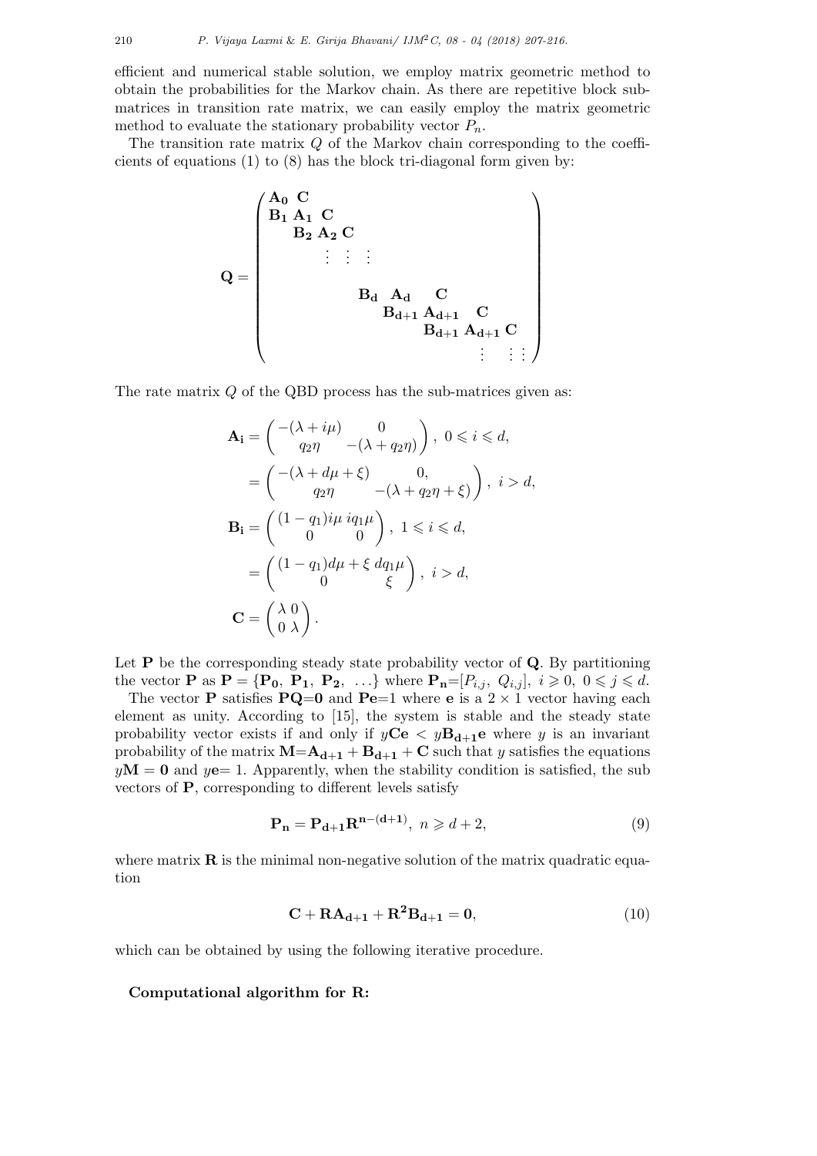efficient and numerical stable solution, we employ matrix geometric method to obtain the probabilities for the Markov chain. As there are repetitive block submatrices in transition rate matrix, we can easily employ the matrix geometric method to evaluate the stationary probability vector  $P_n$ .

The transition rate matrix *Q* of the Markov chain corresponding to the coefficients of equations (1) to (8) has the block tri-diagonal form given by:

$$
Q = \begin{pmatrix} A_0 & C & & & & & & & & \\ B_1 & A_1 & C & & & & & & & \\ & B_2 & A_2 & C & & & & & & \\ & & \vdots & \vdots & \vdots & & & & & \\ & & & B_d & A_d & C & & & & \\ & & & & B_{d+1} & A_{d+1} & C & & \\ & & & & & B_{d+1} & A_{d+1} & C & \\ & & & & & & & \vdots & \vdots & \vdots \end{pmatrix}
$$

The rate matrix *Q* of the QBD process has the sub-matrices given as:

$$
\mathbf{A}_{\mathbf{i}} = \begin{pmatrix} -(\lambda + i\mu) & 0 \\ q_{2}\eta & -(\lambda + q_{2}\eta) \end{pmatrix}, 0 \leq i \leq d,
$$
  
\n
$$
= \begin{pmatrix} -(\lambda + d\mu + \xi) & 0, \\ q_{2}\eta & -(\lambda + q_{2}\eta + \xi) \end{pmatrix}, i > d,
$$
  
\n
$$
\mathbf{B}_{\mathbf{i}} = \begin{pmatrix} (1 - q_{1})i\mu iq_{1}\mu \\ 0 & 0 \end{pmatrix}, 1 \leq i \leq d,
$$
  
\n
$$
= \begin{pmatrix} (1 - q_{1})d\mu + \xi d_{1}\mu \\ 0 & \xi \end{pmatrix}, i > d,
$$
  
\n
$$
\mathbf{C} = \begin{pmatrix} \lambda & 0 \\ 0 & \lambda \end{pmatrix}.
$$

Let **P** be the corresponding steady state probability vector of **Q**. By partitioning the vector **P** as  $\mathbf{P} = {\mathbf{P_0, P_1, P_2, ...}}$  where  $\mathbf{P_n} = [P_{i,j}, Q_{i,j}], i \geqslant 0, 0 \leqslant j \leqslant d$ .

The vector **P** satisfies **PQ**=0 and **Pe**=1 where **e** is a  $2 \times 1$  vector having each element as unity. According to [15], the system is stable and the steady state probability vector exists if and only if  $y\textbf{Ce} < y\textbf{B}_{d+1}\textbf{e}$  where *y* is an invariant probability of the matrix  $M = A_{d+1} + B_{d+1} + C$  such that *y* satisfies the equations  $yM = 0$  and  $y = 1$ . Apparently, when the stability condition is satisfied, the sub vectors of **P**, corresponding to different levels satisfy

$$
\mathbf{P_n} = \mathbf{P_{d+1}} \mathbf{R}^{n-(d+1)}, \ n \geqslant d+2,\tag{9}
$$

where matrix  $\bf{R}$  is the minimal non-negative solution of the matrix quadratic equation

$$
\mathbf{C} + \mathbf{R}\mathbf{A}_{\mathbf{d}+1} + \mathbf{R}^2 \mathbf{B}_{\mathbf{d}+1} = \mathbf{0},\tag{10}
$$

which can be obtained by using the following iterative procedure.

## **Computational algorithm for R:**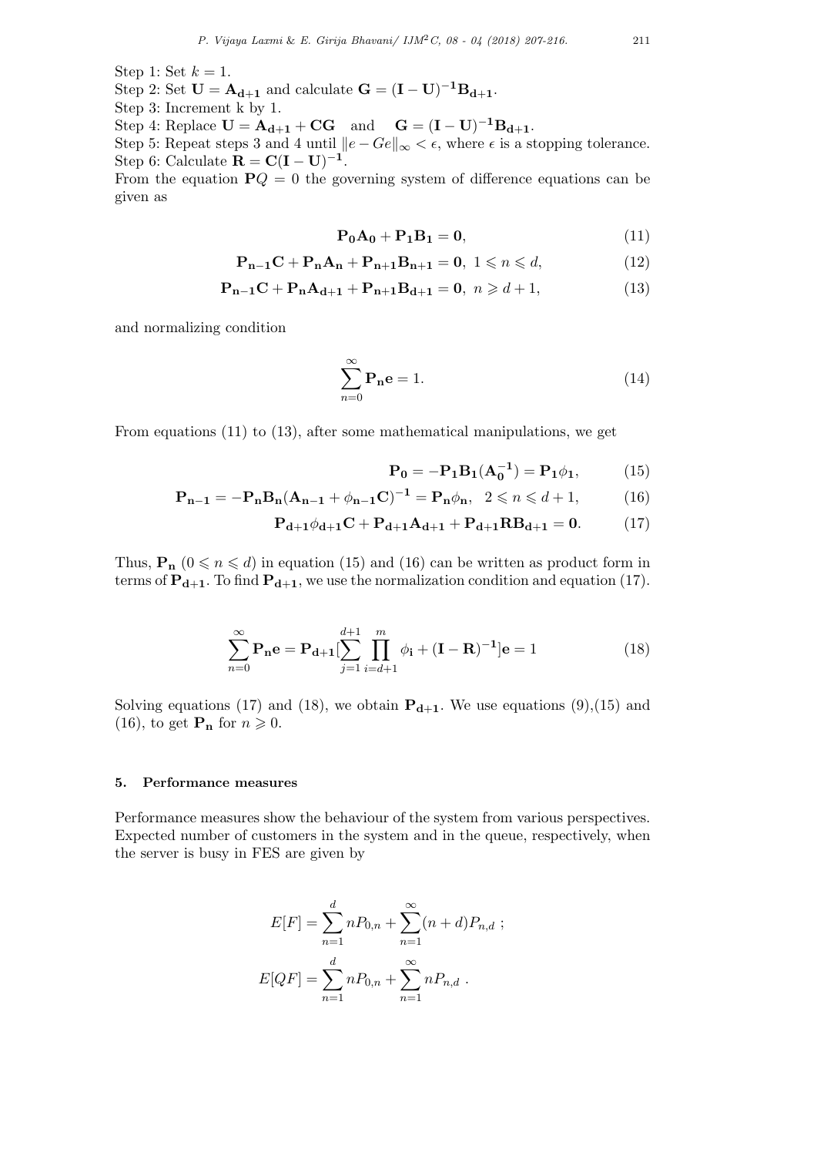Step 2: Set  $U = A_{d+1}$  and calculate  $G = (I - U)^{-1}B_{d+1}$ .

Step 1: Set  $k = 1$ .

Step 3: Increment k by 1.

Step 4: Replace  $U = A_{d+1} + CG$  and  $G = (I - U)^{-1}B_{d+1}$ .

Step 5: Repeat steps 3 and 4 until  $||e - Ge||_{\infty} < \epsilon$ , where  $\epsilon$  is a stopping tolerance. Step 6: Calculate  $\mathbf{R} = \mathbf{C}(\mathbf{I} - \mathbf{U})^{-1}$ .

From the equation  $PQ = 0$  the governing system of difference equations can be given as

$$
\mathbf{P_0} \mathbf{A_0} + \mathbf{P_1} \mathbf{B_1} = \mathbf{0},\tag{11}
$$

$$
\mathbf{P}_{n-1}\mathbf{C} + \mathbf{P}_{n}\mathbf{A}_{n} + \mathbf{P}_{n+1}\mathbf{B}_{n+1} = \mathbf{0}, \ 1 \leq n \leq d,\tag{12}
$$

$$
P_{n-1}C + P_n A_{d+1} + P_{n+1}B_{d+1} = 0, \ n \geq d+1,
$$
 (13)

and normalizing condition

$$
\sum_{n=0}^{\infty} \mathbf{P_n e} = 1.
$$
 (14)

From equations (11) to (13), after some mathematical manipulations, we get

$$
\mathbf{P_0} = -\mathbf{P_1}\mathbf{B_1}(\mathbf{A_0^{-1}}) = \mathbf{P_1}\phi_1,\tag{15}
$$

$$
\mathbf{P}_{n-1} = -\mathbf{P}_{n}\mathbf{B}_{n}(\mathbf{A}_{n-1} + \phi_{n-1}\mathbf{C})^{-1} = \mathbf{P}_{n}\phi_{n}, \ \ 2 \leq n \leq d+1, \tag{16}
$$

$$
P_{d+1}\phi_{d+1}C + P_{d+1}A_{d+1} + P_{d+1}RB_{d+1} = 0.
$$
 (17)

Thus,  $\mathbf{P}_{\mathbf{n}}$  ( $0 \le n \le d$ ) in equation (15) and (16) can be written as product form in terms of  $P_{d+1}$ . To find  $P_{d+1}$ , we use the normalization condition and equation (17).

$$
\sum_{n=0}^{\infty} \mathbf{P_n e} = \mathbf{P_{d+1}} \left[ \sum_{j=1}^{d+1} \prod_{i=d+1}^{m} \phi_i + (\mathbf{I} - \mathbf{R})^{-1} \right] e = 1 \tag{18}
$$

Solving equations (17) and (18), we obtain  $P_{d+1}$ . We use equations (9),(15) and  $(16)$ , to get  $\mathbf{P_n}$  for  $n \geqslant 0$ .

#### **5. Performance measures**

Performance measures show the behaviour of the system from various perspectives. Expected number of customers in the system and in the queue, respectively, when the server is busy in FES are given by

$$
E[F] = \sum_{n=1}^{d} nP_{0,n} + \sum_{n=1}^{\infty} (n+d)P_{n,d} ;
$$
  

$$
E[QF] = \sum_{n=1}^{d} nP_{0,n} + \sum_{n=1}^{\infty} nP_{n,d} .
$$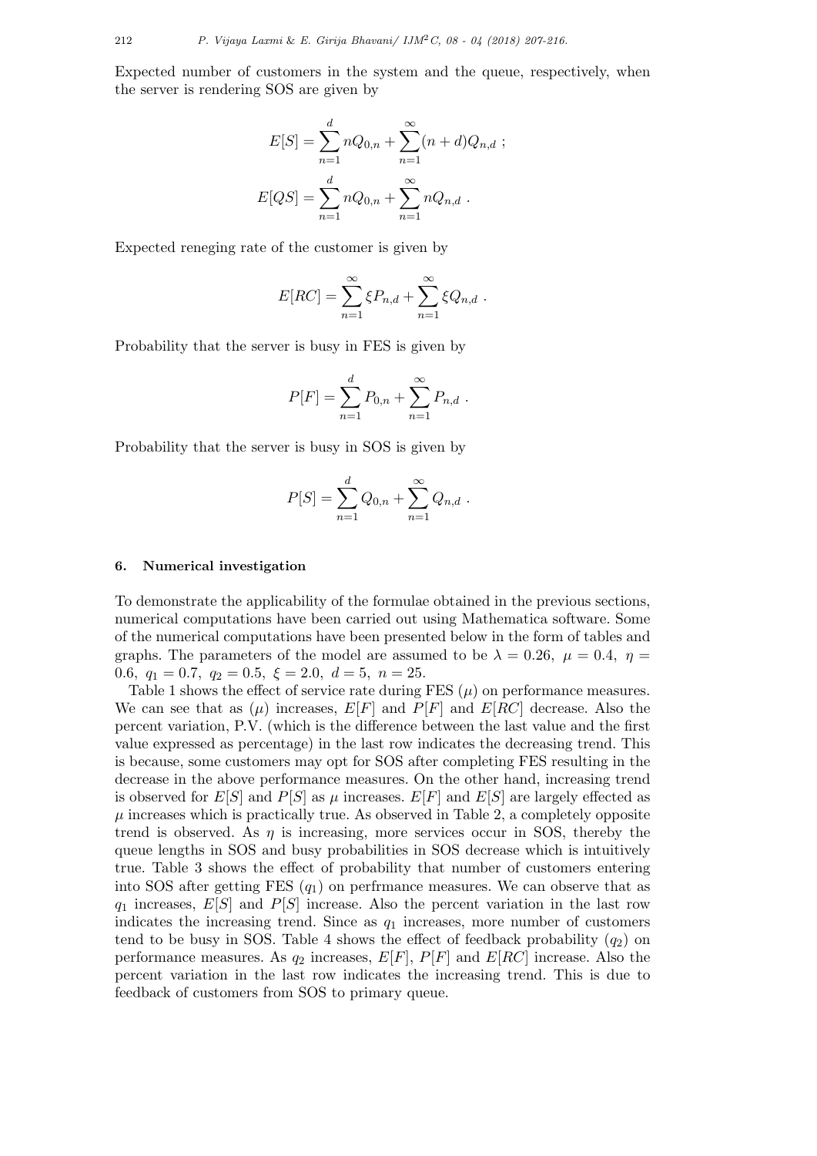Expected number of customers in the system and the queue, respectively, when the server is rendering SOS are given by

$$
E[S] = \sum_{n=1}^{d} nQ_{0,n} + \sum_{n=1}^{\infty} (n+d)Q_{n,d} ;
$$
  

$$
E[QS] = \sum_{n=1}^{d} nQ_{0,n} + \sum_{n=1}^{\infty} nQ_{n,d} .
$$

Expected reneging rate of the customer is given by

$$
E[RC] = \sum_{n=1}^{\infty} \xi P_{n,d} + \sum_{n=1}^{\infty} \xi Q_{n,d} .
$$

Probability that the server is busy in FES is given by

$$
P[F] = \sum_{n=1}^{d} P_{0,n} + \sum_{n=1}^{\infty} P_{n,d} .
$$

Probability that the server is busy in SOS is given by

$$
P[S] = \sum_{n=1}^{d} Q_{0,n} + \sum_{n=1}^{\infty} Q_{n,d} .
$$

## **6. Numerical investigation**

To demonstrate the applicability of the formulae obtained in the previous sections, numerical computations have been carried out using Mathematica software. Some of the numerical computations have been presented below in the form of tables and graphs. The parameters of the model are assumed to be  $\lambda = 0.26$ ,  $\mu = 0.4$ ,  $\eta =$ 0.6*,*  $q_1 = 0.7$ ,  $q_2 = 0.5$ ,  $\xi = 2.0$ ,  $d = 5$ ,  $n = 25$ .

Table 1 shows the effect of service rate during FES  $(\mu)$  on performance measures. We can see that as  $(\mu)$  increases,  $E[F]$  and  $P[F]$  and  $E[RC]$  decrease. Also the percent variation, P.V. (which is the difference between the last value and the first value expressed as percentage) in the last row indicates the decreasing trend. This is because, some customers may opt for SOS after completing FES resulting in the decrease in the above performance measures. On the other hand, increasing trend is observed for  $E[S]$  and  $P[S]$  as  $\mu$  increases.  $E[F]$  and  $E[S]$  are largely effected as  $\mu$  increases which is practically true. As observed in Table 2, a completely opposite trend is observed. As  $\eta$  is increasing, more services occur in SOS, thereby the queue lengths in SOS and busy probabilities in SOS decrease which is intuitively true. Table 3 shows the effect of probability that number of customers entering into SOS after getting FES (*q*1) on perfrmance measures. We can observe that as *q*<sup>1</sup> increases, *E*[*S*] and *P*[*S*] increase. Also the percent variation in the last row indicates the increasing trend. Since as *q*<sup>1</sup> increases, more number of customers tend to be busy in SOS. Table 4 shows the effect of feedback probability  $(q_2)$  on performance measures. As  $q_2$  increases,  $E[F]$ ,  $P[F]$  and  $E[RC]$  increase. Also the percent variation in the last row indicates the increasing trend. This is due to feedback of customers from SOS to primary queue.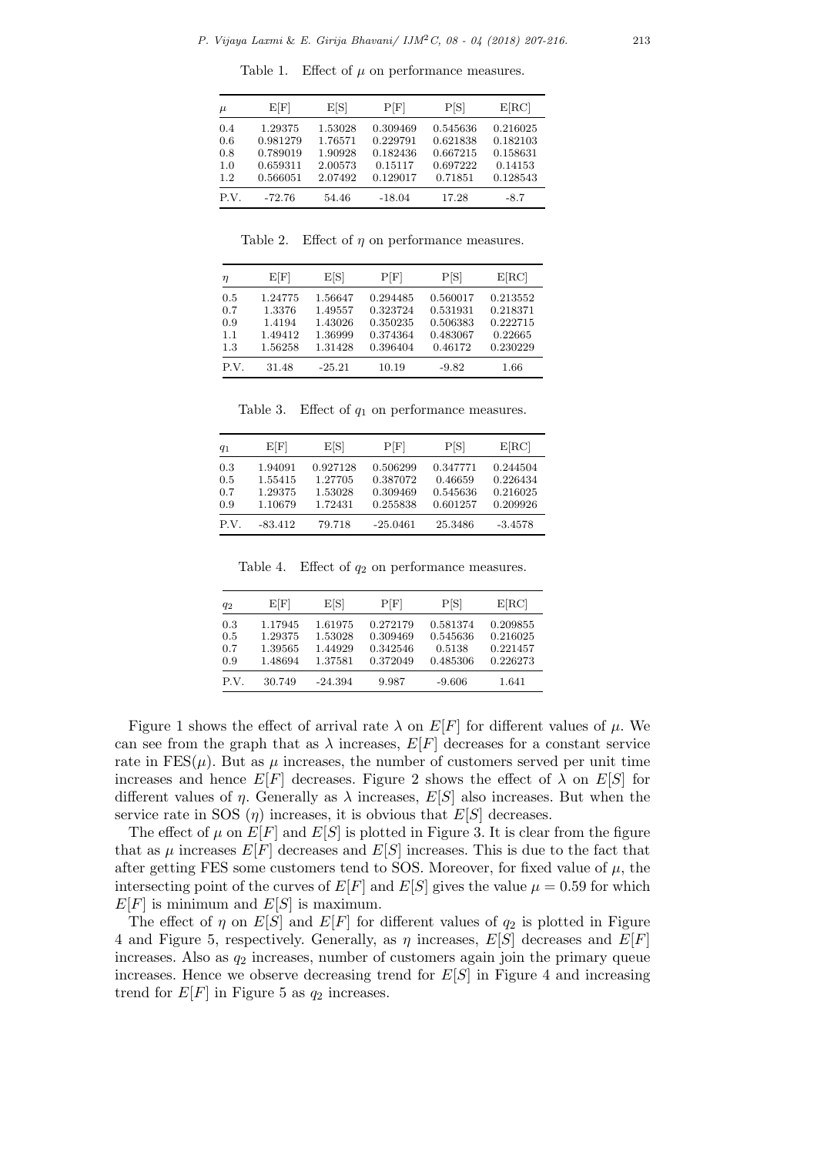| $\mu$ | E[F]     | E[S]    | P[F]     | P[S]     | E[RC]    |
|-------|----------|---------|----------|----------|----------|
| 0.4   | 1.29375  | 1.53028 | 0.309469 | 0.545636 | 0.216025 |
| 0.6   | 0.981279 | 1.76571 | 0.229791 | 0.621838 | 0.182103 |
| 0.8   | 0.789019 | 1.90928 | 0.182436 | 0.667215 | 0.158631 |
| 1.0   | 0.659311 | 2.00573 | 0.15117  | 0.697222 | 0.14153  |
| 1.2.  | 0.566051 | 2.07492 | 0.129017 | 0.71851  | 0.128543 |
| P.V.  | $-72.76$ | 54.46   | $-18.04$ | 17.28    | $-8.7$   |

Table 1. Effect of  $\mu$  on performance measures.

Table 2. Effect of *η* on performance measures.

| η                               | E[F]                                              | E[S]                                                | $\rm P[F]$                                               | P[S]                                                    | E[RC]                                                   |
|---------------------------------|---------------------------------------------------|-----------------------------------------------------|----------------------------------------------------------|---------------------------------------------------------|---------------------------------------------------------|
| 0.5<br>0.7<br>0.9<br>1.1<br>1.3 | 1.24775<br>1.3376<br>1.4194<br>1.49412<br>1.56258 | 1.56647<br>1.49557<br>1.43026<br>1.36999<br>1.31428 | 0.294485<br>0.323724<br>0.350235<br>0.374364<br>0.396404 | 0.560017<br>0.531931<br>0.506383<br>0.483067<br>0.46172 | 0.213552<br>0.218371<br>0.222715<br>0.22665<br>0.230229 |
| P.V.                            | 31.48                                             | $-25.21$                                            | 10.19                                                    | $-9.82$                                                 | 1.66                                                    |

Table 3. Effect of *q*<sup>1</sup> on performance measures.

| $q_1$                    | E[F]                                     | E[S]                                      | P[F]                                         | P[S]                                        | E[RC]                                        |
|--------------------------|------------------------------------------|-------------------------------------------|----------------------------------------------|---------------------------------------------|----------------------------------------------|
| 0.3<br>0.5<br>0.7<br>0.9 | 1.94091<br>1.55415<br>1.29375<br>1.10679 | 0.927128<br>1.27705<br>1.53028<br>1.72431 | 0.506299<br>0.387072<br>0.309469<br>0.255838 | 0.347771<br>0.46659<br>0.545636<br>0.601257 | 0.244504<br>0.226434<br>0.216025<br>0.209926 |
| P.V.                     | $-83.412$                                | 79.718                                    | $-25.0461$                                   | 25.3486                                     | $-3.4578$                                    |

Table 4. Effect of *q*<sup>2</sup> on performance measures.

| $q_2$                    | E[F]                                     | E[S]                                     | $\rm P[F]$                                   | P[S]                                       | E[RC]                                        |
|--------------------------|------------------------------------------|------------------------------------------|----------------------------------------------|--------------------------------------------|----------------------------------------------|
| 0.3<br>0.5<br>0.7<br>0.9 | 1.17945<br>1.29375<br>1.39565<br>1.48694 | 1.61975<br>1.53028<br>1.44929<br>1.37581 | 0.272179<br>0.309469<br>0.342546<br>0.372049 | 0.581374<br>0.545636<br>0.5138<br>0.485306 | 0.209855<br>0.216025<br>0.221457<br>0.226273 |
| P.V.                     | 30.749                                   | $-24.394$                                | 9.987                                        | $-9.606$                                   | 1.641                                        |

Figure 1 shows the effect of arrival rate  $\lambda$  on  $E[F]$  for different values of  $\mu$ . We can see from the graph that as  $\lambda$  increases,  $E[F]$  decreases for a constant service rate in  $FES(\mu)$ . But as  $\mu$  increases, the number of customers served per unit time increases and hence  $E[F]$  decreases. Figure 2 shows the effect of  $\lambda$  on  $E[S]$  for different values of *η*. Generally as  $\lambda$  increases,  $E[S]$  also increases. But when the service rate in SOS  $(\eta)$  increases, it is obvious that  $E[S]$  decreases.

The effect of  $\mu$  on  $E[F]$  and  $E[S]$  is plotted in Figure 3. It is clear from the figure that as  $\mu$  increases  $E[F]$  decreases and  $E[S]$  increases. This is due to the fact that after getting FES some customers tend to SOS. Moreover, for fixed value of  $\mu$ , the intersecting point of the curves of  $E[F]$  and  $E[S]$  gives the value  $\mu = 0.59$  for which  $E[F]$  is minimum and  $E[S]$  is maximum.

The effect of  $\eta$  on  $E[S]$  and  $E[F]$  for different values of  $q_2$  is plotted in Figure 4 and Figure 5, respectively. Generally, as  $\eta$  increases,  $E[S]$  decreases and  $E[F]$ increases. Also as  $q_2$  increases, number of customers again join the primary queue increases. Hence we observe decreasing trend for  $E[S]$  in Figure 4 and increasing trend for  $E[F]$  in Figure 5 as  $q_2$  increases.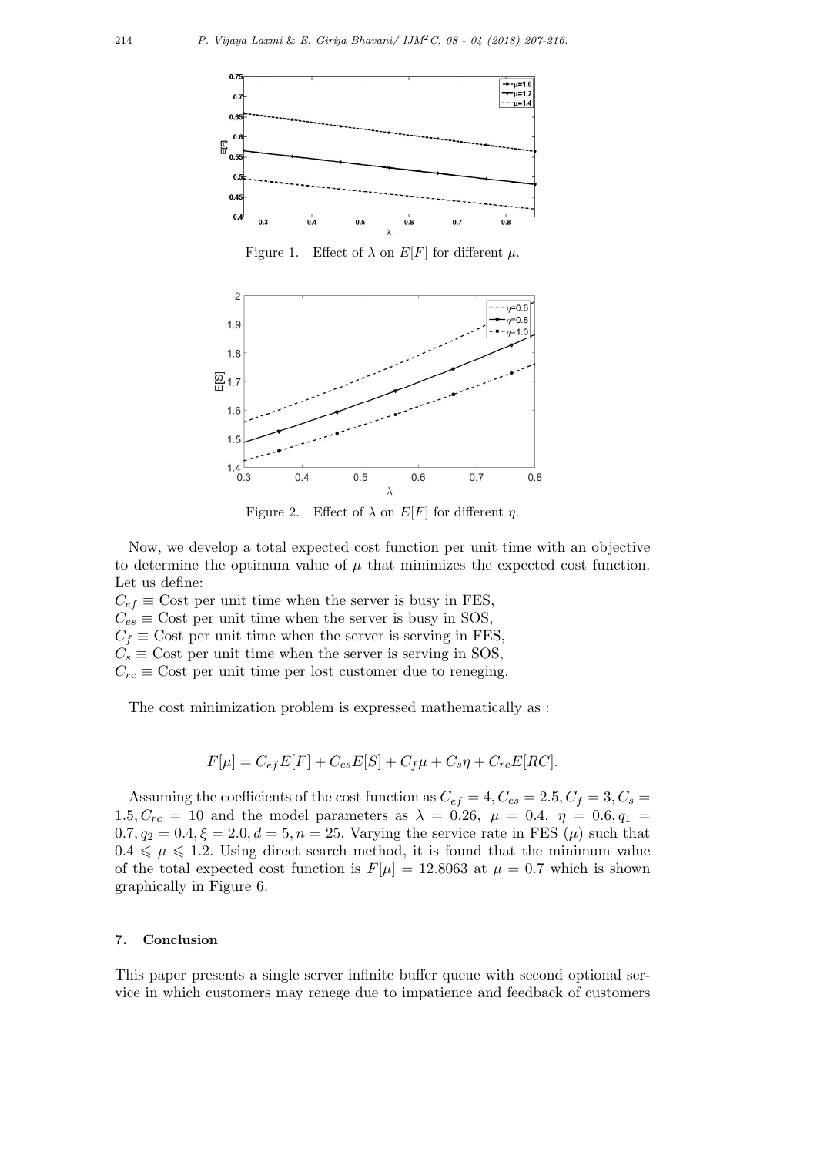

Figure 1. Effect of  $\lambda$  on  $E[F]$  for different  $\mu$ .



Figure 2. Effect of  $\lambda$  on  $E[F]$  for different  $\eta$ .

Now, we develop a total expected cost function per unit time with an objective to determine the optimum value of  $\mu$  that minimizes the expected cost function. Let us define:

 $C_{ef} \equiv$  Cost per unit time when the server is busy in FES,  $C_{es} \equiv$  Cost per unit time when the server is busy in SOS,  $C_f \equiv$  Cost per unit time when the server is serving in FES,  $C_s \equiv$  Cost per unit time when the server is serving in SOS,  $C_{rc} \equiv$  Cost per unit time per lost customer due to reneging.

The cost minimization problem is expressed mathematically as :

$$
F[\mu] = C_{ef}E[F] + C_{es}E[S] + C_f\mu + C_s\eta + C_{rc}E[RC].
$$

Assuming the coefficients of the cost function as  $C_{ef} = 4, C_{es} = 2.5, C_f = 3, C_s =$ 1.5*, C<sub>rc</sub>* = 10 and the model parameters as  $\lambda = 0.26$ ,  $\mu = 0.4$ ,  $\eta = 0.6$ ,  $q_1 =$  $0.7, q_2 = 0.4, \xi = 2.0, d = 5, n = 25$ . Varying the service rate in FES ( $\mu$ ) such that  $0.4 \leq \mu \leq 1.2$ . Using direct search method, it is found that the minimum value of the total expected cost function is  $F[\mu] = 12.8063$  at  $\mu = 0.7$  which is shown graphically in Figure 6.

# **7. Conclusion**

This paper presents a single server infinite buffer queue with second optional service in which customers may renege due to impatience and feedback of customers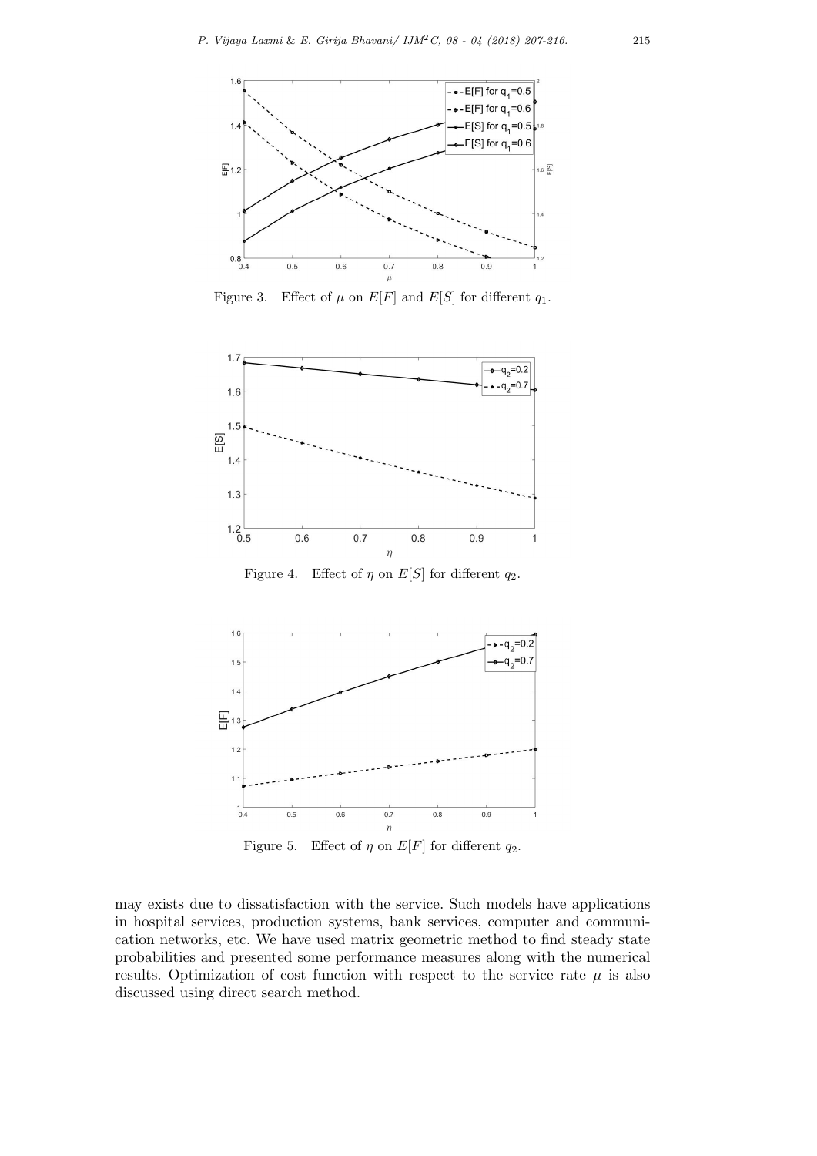

Figure 3. Effect of  $\mu$  on  $E[F]$  and  $E[S]$  for different  $q_1$ .



Figure 4. Effect of  $\eta$  on  $E[S]$  for different  $q_2$ .



Figure 5. Effect of  $\eta$  on  $E[F]$  for different  $q_2$ .

may exists due to dissatisfaction with the service. Such models have applications in hospital services, production systems, bank services, computer and communication networks, etc. We have used matrix geometric method to find steady state probabilities and presented some performance measures along with the numerical results. Optimization of cost function with respect to the service rate  $\mu$  is also discussed using direct search method.